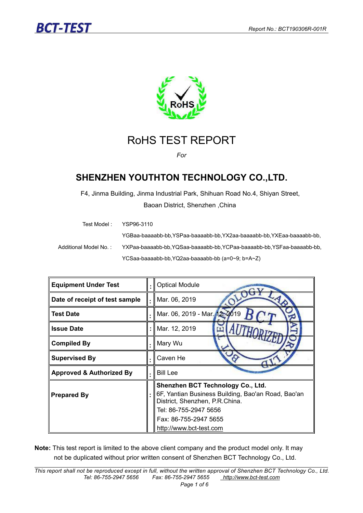



### RoHS TEST REPORT

*For*

### **SHENZHEN YOUTHTON TECHNOLOGY CO.,LTD.**

F4, Jinma Building, Jinma Industrial Park, Shihuan Road No.4, Shiyan Street, Baoan District, Shenzhen ,China

| Test Model : .          | YSP96-3110                                                           |
|-------------------------|----------------------------------------------------------------------|
|                         | YGBaa-baaaabb-bb.YSPaa-baaaabb-bb.YX2aa-baaaabb-bb.YXEaa-baaaabb-bb. |
| Additional Model No. :- | YXPaa-baaaabb-bb,YQSaa-baaaabb-bb,YCPaa-baaaabb-bb,YSFaa-baaaabb-bb, |
|                         | YCSaa-baaaabb-bb, YQ2aa-baaaabb-bb (a=0~9; b=A~Z)                    |

| <b>Equipment Under Test</b>         |                | .    Optical Module                                                                                                                                                          |  |  |  |
|-------------------------------------|----------------|------------------------------------------------------------------------------------------------------------------------------------------------------------------------------|--|--|--|
| Date of receipt of test sample      |                | .    Mar. 06, 2019                                                                                                                                                           |  |  |  |
| <b>Test Date</b>                    | $\blacksquare$ | Mar. 06, 2019 - Mar. 12, 2019                                                                                                                                                |  |  |  |
| <b>Issue Date</b>                   |                | :    Mar. 12, 2019                                                                                                                                                           |  |  |  |
| <b>Compiled By</b>                  | ٠              | Mary Wu                                                                                                                                                                      |  |  |  |
| <b>Supervised By</b>                |                | Caven He                                                                                                                                                                     |  |  |  |
| <b>Approved &amp; Authorized By</b> | ٠              | <b>Bill Lee</b>                                                                                                                                                              |  |  |  |
| <b>Prepared By</b>                  |                | Shenzhen BCT Technology Co., Ltd.<br>∥6F, Yantian Business Building, Bao'an Road, Bao'an<br>District, Shenzhen, P.R.China.<br>Tel: 86-755-2947 5656<br>Fax: 86-755-2947 5655 |  |  |  |
|                                     |                | http://www.bct-test.com                                                                                                                                                      |  |  |  |

Note: This test report is limited to the above client company and the product model only. It may not be duplicated without prior written consent of Shenzhen BCT Technology Co., Ltd.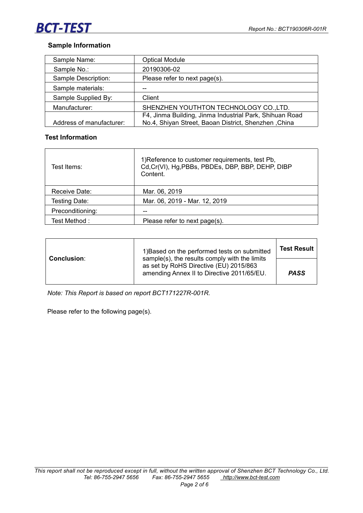## **BCT-TEST**

#### **Sample Information**

| Sample Name:             | <b>Optical Module</b>                                   |  |
|--------------------------|---------------------------------------------------------|--|
| Sample No.:              | 20190306-02                                             |  |
| Sample Description:      | Please refer to next page(s).                           |  |
| Sample materials:        | --                                                      |  |
| Sample Supplied By:      | Client                                                  |  |
| Manufacturer:            | SHENZHEN YOUTHTON TECHNOLOGY CO., LTD.                  |  |
|                          | F4, Jinma Building, Jinma Industrial Park, Shihuan Road |  |
| Address of manufacturer: | No.4, Shiyan Street, Baoan District, Shenzhen , China   |  |

#### **Test Information**

| Test Items:      | 1) Reference to customer requirements, test Pb,<br>Cd, Cr(VI), Hg, PBBs, PBDEs, DBP, BBP, DEHP, DIBP<br>Content. |  |
|------------------|------------------------------------------------------------------------------------------------------------------|--|
| Receive Date:    | Mar. 06, 2019                                                                                                    |  |
| Testing Date:    | Mar. 06, 2019 - Mar. 12, 2019                                                                                    |  |
| Preconditioning: | $-$                                                                                                              |  |
| Test Method:     | Please refer to next page(s).                                                                                    |  |

| <b>Conclusion:</b> | 1) Based on the performed tests on submitted<br>sample(s), the results comply with the limits | <b>Test Result</b> |  |
|--------------------|-----------------------------------------------------------------------------------------------|--------------------|--|
|                    | as set by RoHS Directive (EU) 2015/863<br>amending Annex II to Directive 2011/65/EU.          | <b>PASS</b>        |  |

*Note: This Report is based on report BCT171227R-001R.*

Please refer to the following page(s).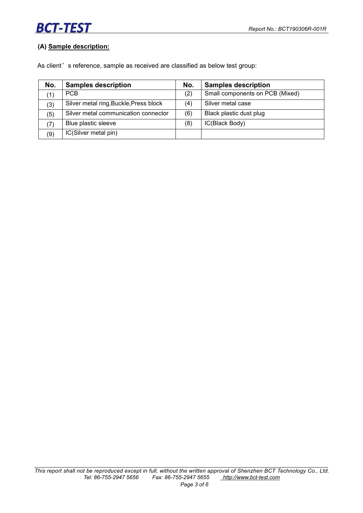# **BCT-TEST**

#### **(A) Sample description:**

As client's reference, sample as received are classified as below test group:

| No. | <b>Samples description</b>             | No. | <b>Samples description</b>      |
|-----|----------------------------------------|-----|---------------------------------|
|     | PCB.                                   | (2) | Small components on PCB (Mixed) |
| (3) | Silver metal ring, Buckle, Press block | (4) | Silver metal case               |
| (5) | Silver metal communication connector   | (6) | Black plastic dust plug         |
| (7) | Blue plastic sleeve                    | (8) | IC(Black Body)                  |
| (9) | IC(Silver metal pin)                   |     |                                 |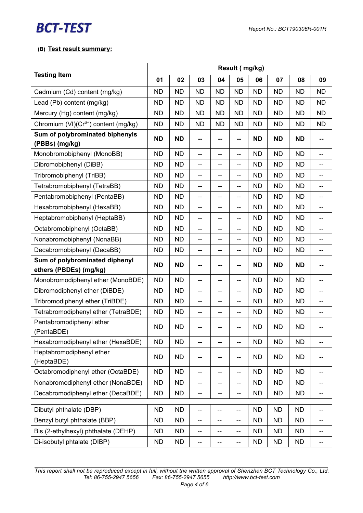# **BCT-TEST**

#### **(B) Test result summary:**

|                                                          | Result (mg/kg) |           |                          |                          |                          |           |           |           |                                       |  |
|----------------------------------------------------------|----------------|-----------|--------------------------|--------------------------|--------------------------|-----------|-----------|-----------|---------------------------------------|--|
| <b>Testing Item</b>                                      | 01             | 02        | 03                       | 04                       | 05                       | 06        | 07        | 08        | 09                                    |  |
| Cadmium (Cd) content (mg/kg)                             | <b>ND</b>      | <b>ND</b> | <b>ND</b>                | <b>ND</b>                | <b>ND</b>                | <b>ND</b> | <b>ND</b> | <b>ND</b> | <b>ND</b>                             |  |
| Lead (Pb) content (mg/kg)                                | <b>ND</b>      | <b>ND</b> | <b>ND</b>                | <b>ND</b>                | <b>ND</b>                | <b>ND</b> | <b>ND</b> | <b>ND</b> | <b>ND</b>                             |  |
| Mercury (Hg) content (mg/kg)                             | <b>ND</b>      | <b>ND</b> | <b>ND</b>                | <b>ND</b>                | <b>ND</b>                | <b>ND</b> | <b>ND</b> | <b>ND</b> | <b>ND</b>                             |  |
| Chromium (VI)(Cr <sup>6+</sup> ) content (mg/kg)         | <b>ND</b>      | <b>ND</b> | <b>ND</b>                | <b>ND</b>                | <b>ND</b>                | <b>ND</b> | <b>ND</b> | <b>ND</b> | <b>ND</b>                             |  |
| Sum of polybrominated biphenyls<br>(PBBs) (mg/kg)        | <b>ND</b>      | <b>ND</b> | --                       | --                       | --                       | <b>ND</b> | <b>ND</b> | <b>ND</b> | --                                    |  |
| Monobromobiphenyl (MonoBB)                               | <b>ND</b>      | <b>ND</b> | $\qquad \qquad \qquad -$ | --                       | --                       | <b>ND</b> | <b>ND</b> | <b>ND</b> | $\overline{\phantom{0}}$              |  |
| Dibromobiphenyl (DiBB)                                   | <b>ND</b>      | <b>ND</b> | --                       | --                       | --                       | <b>ND</b> | <b>ND</b> | <b>ND</b> | --                                    |  |
| Tribromobiphenyl (TriBB)                                 | <b>ND</b>      | <b>ND</b> | $\qquad \qquad \qquad -$ | --                       | --                       | <b>ND</b> | <b>ND</b> | <b>ND</b> | $\overline{\phantom{a}}$              |  |
| Tetrabromobiphenyl (TetraBB)                             | <b>ND</b>      | <b>ND</b> | $-$                      | --                       | --                       | <b>ND</b> | <b>ND</b> | <b>ND</b> | $\overline{\phantom{a}}$              |  |
| Pentabromobiphenyl (PentaBB)                             | <b>ND</b>      | <b>ND</b> | $-$                      | $-$                      | $-$                      | <b>ND</b> | <b>ND</b> | <b>ND</b> | $\overline{\phantom{a}}$              |  |
| Hexabromobiphenyl (HexaBB)                               | <b>ND</b>      | <b>ND</b> | $\overline{\phantom{a}}$ | --                       | $\overline{\phantom{a}}$ | <b>ND</b> | <b>ND</b> | <b>ND</b> | $\overline{\phantom{a}}$              |  |
| Heptabromobiphenyl (HeptaBB)                             | <b>ND</b>      | <b>ND</b> | $\overline{\phantom{a}}$ | --                       | $-$                      | <b>ND</b> | <b>ND</b> | <b>ND</b> | $\overline{\phantom{a}}$              |  |
| Octabromobiphenyl (OctaBB)                               | <b>ND</b>      | <b>ND</b> | $\overline{\phantom{a}}$ | --                       | $-$                      | <b>ND</b> | <b>ND</b> | <b>ND</b> | $- -$                                 |  |
| Nonabromobiphenyl (NonaBB)                               | <b>ND</b>      | <b>ND</b> | $-$                      | $- -$                    | $\overline{\phantom{a}}$ | <b>ND</b> | <b>ND</b> | <b>ND</b> | $- -$                                 |  |
| Decabromobiphenyl (DecaBB)                               | <b>ND</b>      | <b>ND</b> | $-$                      | --                       | $\overline{\phantom{a}}$ | <b>ND</b> | <b>ND</b> | <b>ND</b> | $- -$                                 |  |
| Sum of polybrominated diphenyl<br>ethers (PBDEs) (mg/kg) | <b>ND</b>      | <b>ND</b> | н.                       | --                       | --                       | <b>ND</b> | <b>ND</b> | <b>ND</b> | --                                    |  |
| Monobromodiphenyl ether (MonoBDE)                        | <b>ND</b>      | <b>ND</b> | $-$                      | --                       | $-$                      | <b>ND</b> | <b>ND</b> | <b>ND</b> | $- -$                                 |  |
| Dibromodiphenyl ether (DiBDE)                            | <b>ND</b>      | <b>ND</b> | $-$                      | $-$                      | $-$                      | <b>ND</b> | <b>ND</b> | <b>ND</b> | $\overline{\phantom{a}}$              |  |
| Tribromodiphenyl ether (TriBDE)                          | <b>ND</b>      | <b>ND</b> | $-$                      | --                       | $\overline{\phantom{0}}$ | <b>ND</b> | <b>ND</b> | <b>ND</b> | $\overline{\phantom{a}}$              |  |
| Tetrabromodiphenyl ether (TetraBDE)                      | <b>ND</b>      | <b>ND</b> | $-$                      | --                       | $-$                      | <b>ND</b> | <b>ND</b> | <b>ND</b> | $\overline{\phantom{a}}$              |  |
| Pentabromodiphenyl ether<br>(PentaBDE)                   | <b>ND</b>      | <b>ND</b> | --                       | --                       | --                       | <b>ND</b> | <b>ND</b> | <b>ND</b> | --                                    |  |
| Hexabromodiphenyl ether (HexaBDE)                        | <b>ND</b>      | <b>ND</b> | $- -$                    | $- -$                    | --                       | <b>ND</b> | <b>ND</b> | <b>ND</b> | $\overline{\phantom{a}}$              |  |
| Heptabromodiphenyl ether<br>(HeptaBDE)                   | <b>ND</b>      | <b>ND</b> | $- -$                    | --                       | --                       | <b>ND</b> | <b>ND</b> | <b>ND</b> | $-$                                   |  |
| Octabromodiphenyl ether (OctaBDE)                        | <b>ND</b>      | <b>ND</b> | $\overline{\phantom{a}}$ | $\overline{\phantom{a}}$ | $-$                      | <b>ND</b> | <b>ND</b> | <b>ND</b> | $- -$                                 |  |
| Nonabromodiphenyl ether (NonaBDE)                        | <b>ND</b>      | <b>ND</b> | $\overline{\phantom{a}}$ | --                       | --                       | <b>ND</b> | <b>ND</b> | <b>ND</b> | $-$                                   |  |
| Decabromodiphenyl ether (DecaBDE)                        | <b>ND</b>      | <b>ND</b> | $\overline{\phantom{a}}$ | --                       | --                       | <b>ND</b> | <b>ND</b> | ND.       | $\overline{\phantom{a}}$              |  |
| Dibutyl phthalate (DBP)                                  | <b>ND</b>      | <b>ND</b> | $\overline{\phantom{a}}$ | --                       | --                       | <b>ND</b> | <b>ND</b> | <b>ND</b> | --                                    |  |
| Benzyl butyl phthalate (BBP)                             | <b>ND</b>      | <b>ND</b> | $\overline{\phantom{a}}$ | --                       | --                       | <b>ND</b> | <b>ND</b> | <b>ND</b> | $\hspace{0.05cm}$ – $\hspace{0.05cm}$ |  |
| Bis (2-ethylhexyl) phthalate (DEHP)                      | <b>ND</b>      | <b>ND</b> | $\overline{\phantom{a}}$ | --                       | --                       | <b>ND</b> | <b>ND</b> | <b>ND</b> | $-$                                   |  |
| Di-isobutyl phtalate (DIBP)                              | <b>ND</b>      | <b>ND</b> | $\qquad \qquad -$        | --                       | $\overline{\phantom{a}}$ | <b>ND</b> | <b>ND</b> | <b>ND</b> | $\overline{\phantom{a}}$              |  |
|                                                          |                |           |                          |                          |                          |           |           |           |                                       |  |

This report shall not be reproduced except in full, without the written approval of Shenzhen BCT Technology Co., Ltd.<br>Tel: 86-755-2947 5656 Fax: 86-755-2947 5655 http://www.bct-test.com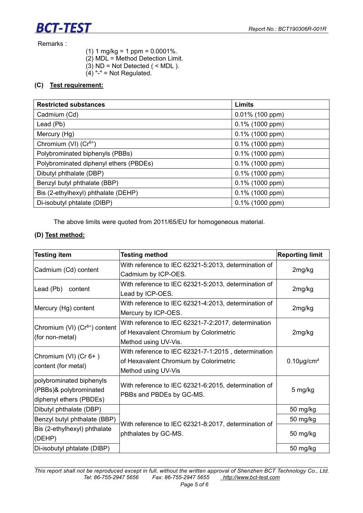Remarks :

**BCT-TEST** 

- $(1)$  1 mg/kg = 1 ppm = 0.0001%.
- (2) MDL = Method Detection Limit.
- $(3)$  ND = Not Detected ( < MDL ).
- $(4)$  "-" = Not Regulated.

#### **(C) Test requirement:**

| <b>Restricted substances</b>           | Limits             |
|----------------------------------------|--------------------|
| Cadmium (Cd)                           | $0.01\%$ (100 ppm) |
| Lead (Pb)                              | $0.1\%$ (1000 ppm) |
| Mercury (Hg)                           | $0.1\%$ (1000 ppm) |
| Chromium (VI) (Cr <sup>6+</sup> )      | $0.1\%$ (1000 ppm) |
| Polybrominated biphenyls (PBBs)        | $0.1\%$ (1000 ppm) |
| Polybrominated diphenyl ethers (PBDEs) | $0.1\%$ (1000 ppm) |
| Dibutyl phthalate (DBP)                | $0.1\%$ (1000 ppm) |
| Benzyl butyl phthalate (BBP)           | $0.1\%$ (1000 ppm) |
| Bis (2-ethylhexyl) phthalate (DEHP)    | $0.1\%$ (1000 ppm) |
| Di-isobutyl phtalate (DIBP)            | $0.1\%$ (1000 ppm) |

The above limits were quoted from 2011/65/EU for homogeneous material.

#### **(D) Test method:**

| <b>Testing item</b>                       | <b>Testing method</b>                                | <b>Reporting limit</b>       |  |  |
|-------------------------------------------|------------------------------------------------------|------------------------------|--|--|
|                                           | With reference to IEC 62321-5:2013, determination of | 2mg/kg                       |  |  |
| Cadmium (Cd) content                      | Cadmium by ICP-OES.                                  |                              |  |  |
|                                           | With reference to IEC 62321-5:2013, determination of | 2mg/kg                       |  |  |
| Lead (Pb)<br>content                      | Lead by ICP-OES.                                     |                              |  |  |
| Mercury (Hg) content                      | With reference to IEC 62321-4:2013, determination of | 2mg/kg                       |  |  |
|                                           | Mercury by ICP-OES.                                  |                              |  |  |
|                                           | With reference to IEC 62321-7-2:2017, determination  |                              |  |  |
| Chromium (VI) (Cr <sup>6+</sup> ) content | of Hexavalent Chromium by Colorimetric               | 2mg/kg                       |  |  |
| (for non-metal)                           | Method using UV-Vis.                                 |                              |  |  |
| Chromium (VI) (Cr 6+)                     | With reference to IEC 62321-7-1:2015, determination  |                              |  |  |
|                                           | of Hexavalent Chromium by Colorimetric               | $0.10 \mu$ g/cm <sup>2</sup> |  |  |
| content (for metal)                       | Method using UV-Vis                                  |                              |  |  |
| polybrominated biphenyls                  | With reference to IEC 62321-6:2015, determination of | 5 mg/kg                      |  |  |
| (PBBs)& polybrominated                    | PBBs and PBDEs by GC-MS.                             |                              |  |  |
| diphenyl ethers (PBDEs)                   |                                                      |                              |  |  |
| Dibutyl phthalate (DBP)                   |                                                      | 50 mg/kg                     |  |  |
| Benzyl butyl phthalate (BBP)              | With reference to IEC 62321-8:2017, determination of | 50 mg/kg                     |  |  |
| Bis (2-ethylhexyl) phthalate              | phthalates by GC-MS.                                 | 50 mg/kg                     |  |  |
| (DEHP)                                    |                                                      |                              |  |  |
| Di-isobutyl phtalate (DIBP)               |                                                      | 50 mg/kg                     |  |  |

This report shall not be reproduced except in full, without the written approval of Shenzhen BCT Technology Co., Ltd.<br>Tel: 86-755-2947 5656 Fax: 86-755-2947 5655 http://www.bct-test.com